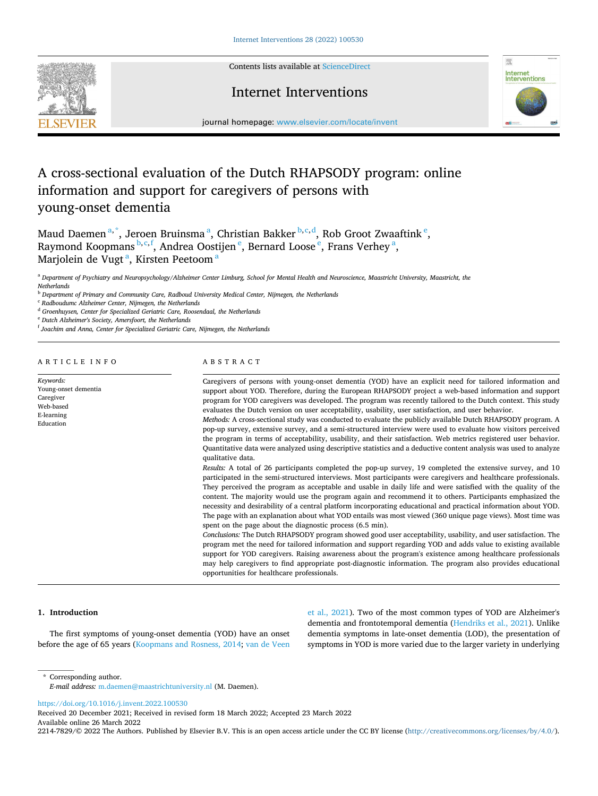

Contents lists available at [ScienceDirect](www.sciencedirect.com/science/journal/22147829)

# Internet Interventions



journal homepage: [www.elsevier.com/locate/invent](https://www.elsevier.com/locate/invent)

# A cross-sectional evaluation of the Dutch RHAPSODY program: online information and support for caregivers of persons with young-onset dementia

Maud Daemen<sup>a,\*</sup>, Jeroen Bruinsma<sup>a</sup>, Christian Bakker<sup>b,c,d</sup>, Rob Groot Zwaaftink<sup>e</sup>, Raymond Koopmans  $^{\text{b,c,f}}$ , Andrea Oostijen  $^{\text{e}}$ , Bernard Loose  $^{\text{e}}$ , Frans Verhey  $^{\text{a}}$ , Marjolein de Vugt<sup>a</sup>, Kirsten Peetoom<sup>a</sup>

<sup>a</sup> *Department of Psychiatry and Neuropsychology/Alzheimer Center Limburg, School for Mental Health and Neuroscience, Maastricht University, Maastricht, the Netherlands* 

<sup>b</sup> *Department of Primary and Community Care, Radboud University Medical Center, Nijmegen, the Netherlands* 

<sup>c</sup> *Radboudumc Alzheimer Center, Nijmegen, the Netherlands* 

<sup>d</sup> *Groenhuysen, Center for Specialized Geriatric Care, Roosendaal, the Netherlands* 

<sup>e</sup> *Dutch Alzheimer's Society, Amersfoort, the Netherlands* 

<sup>f</sup> *Joachim and Anna, Center for Specialized Geriatric Care, Nijmegen, the Netherlands* 

# ARTICLE INFO

*Keywords:*  Young-onset dementia Caregiver Web-based E-learning Education

# ABSTRACT

Caregivers of persons with young-onset dementia (YOD) have an explicit need for tailored information and support about YOD. Therefore, during the European RHAPSODY project a web-based information and support program for YOD caregivers was developed. The program was recently tailored to the Dutch context. This study evaluates the Dutch version on user acceptability, usability, user satisfaction, and user behavior.

*Methods:* A cross-sectional study was conducted to evaluate the publicly available Dutch RHAPSODY program. A pop-up survey, extensive survey, and a semi-structured interview were used to evaluate how visitors perceived the program in terms of acceptability, usability, and their satisfaction. Web metrics registered user behavior. Quantitative data were analyzed using descriptive statistics and a deductive content analysis was used to analyze qualitative data.

*Results:* A total of 26 participants completed the pop-up survey, 19 completed the extensive survey, and 10 participated in the semi-structured interviews. Most participants were caregivers and healthcare professionals. They perceived the program as acceptable and usable in daily life and were satisfied with the quality of the content. The majority would use the program again and recommend it to others. Participants emphasized the necessity and desirability of a central platform incorporating educational and practical information about YOD. The page with an explanation about what YOD entails was most viewed (360 unique page views). Most time was spent on the page about the diagnostic process (6.5 min).

*Conclusions:* The Dutch RHAPSODY program showed good user acceptability, usability, and user satisfaction. The program met the need for tailored information and support regarding YOD and adds value to existing available support for YOD caregivers. Raising awareness about the program's existence among healthcare professionals may help caregivers to find appropriate post-diagnostic information. The program also provides educational opportunities for healthcare professionals.

# **1. Introduction**

The first symptoms of young-onset dementia (YOD) have an onset before the age of 65 years [\(Koopmans and Rosness, 2014](#page-6-0); [van de Veen](#page-6-0)  [et al., 2021](#page-6-0)). Two of the most common types of YOD are Alzheimer's dementia and frontotemporal dementia ([Hendriks et al., 2021\)](#page-6-0). Unlike dementia symptoms in late-onset dementia (LOD), the presentation of symptoms in YOD is more varied due to the larger variety in underlying

\* Corresponding author. *E-mail address:* [m.daemen@maastrichtuniversity.nl](mailto:m.daemen@maastrichtuniversity.nl) (M. Daemen).

<https://doi.org/10.1016/j.invent.2022.100530>

Available online 26 March 2022 2214-7829/© 2022 The Authors. Published by Elsevier B.V. This is an open access article under the CC BY license [\(http://creativecommons.org/licenses/by/4.0/\)](http://creativecommons.org/licenses/by/4.0/). Received 20 December 2021; Received in revised form 18 March 2022; Accepted 23 March 2022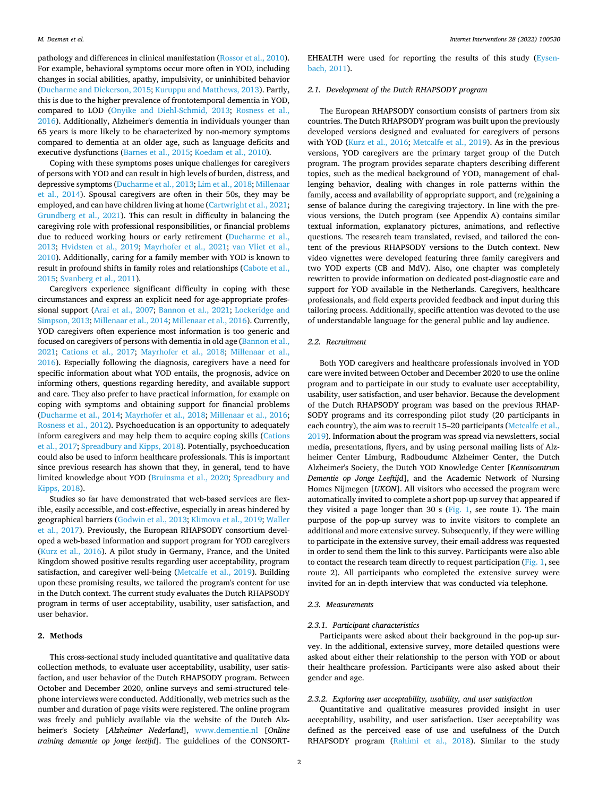pathology and differences in clinical manifestation [\(Rossor et al., 2010](#page-6-0)). For example, behavioral symptoms occur more often in YOD, including changes in social abilities, apathy, impulsivity, or uninhibited behavior ([Ducharme and Dickerson, 2015;](#page-5-0) [Kuruppu and Matthews, 2013](#page-6-0)). Partly, this is due to the higher prevalence of frontotemporal dementia in YOD, compared to LOD ([Onyike and Diehl-Schmid, 2013](#page-6-0); [Rosness et al.,](#page-6-0)  [2016\)](#page-6-0). Additionally, Alzheimer's dementia in individuals younger than 65 years is more likely to be characterized by non-memory symptoms compared to dementia at an older age, such as language deficits and executive dysfunctions [\(Barnes et al., 2015](#page-5-0); [Koedam et al., 2010](#page-6-0)).

Coping with these symptoms poses unique challenges for caregivers of persons with YOD and can result in high levels of burden, distress, and depressive symptoms [\(Ducharme et al., 2013](#page-5-0); [Lim et al., 2018; Millenaar](#page-6-0)  [et al., 2014\)](#page-6-0). Spousal caregivers are often in their 50s, they may be employed, and can have children living at home ([Cartwright et al., 2021](#page-5-0); [Grundberg et al., 2021](#page-6-0)). This can result in difficulty in balancing the caregiving role with professional responsibilities, or financial problems due to reduced working hours or early retirement ([Ducharme et al.,](#page-5-0)  [2013;](#page-5-0) [Hvidsten et al., 2019](#page-6-0); [Mayrhofer et al., 2021](#page-6-0); [van Vliet et al.,](#page-6-0)  [2010\)](#page-6-0). Additionally, caring for a family member with YOD is known to result in profound shifts in family roles and relationships [\(Cabote et al.,](#page-5-0)  [2015;](#page-5-0) [Svanberg et al., 2011](#page-6-0)).

Caregivers experience significant difficulty in coping with these circumstances and express an explicit need for age-appropriate professional support ([Arai et al., 2007](#page-5-0); [Bannon et al., 2021](#page-5-0); [Lockeridge and](#page-6-0)  [Simpson, 2013](#page-6-0); [Millenaar et al., 2014; Millenaar et al., 2016](#page-6-0)). Currently, YOD caregivers often experience most information is too generic and focused on caregivers of persons with dementia in old age [\(Bannon et al.,](#page-5-0)  [2021;](#page-5-0) [Cations et al., 2017](#page-5-0); [Mayrhofer et al., 2018;](#page-6-0) [Millenaar et al.,](#page-6-0)  [2016\)](#page-6-0). Especially following the diagnosis, caregivers have a need for specific information about what YOD entails, the prognosis, advice on informing others, questions regarding heredity, and available support and care. They also prefer to have practical information, for example on coping with symptoms and obtaining support for financial problems ([Ducharme et al., 2014;](#page-5-0) [Mayrhofer et al., 2018;](#page-6-0) [Millenaar et al., 2016](#page-6-0); [Rosness et al., 2012\)](#page-6-0). Psychoeducation is an opportunity to adequately inform caregivers and may help them to acquire coping skills [\(Cations](#page-5-0)  [et al., 2017;](#page-5-0) [Spreadbury and Kipps, 2018](#page-6-0)). Potentially, psychoeducation could also be used to inform healthcare professionals. This is important since previous research has shown that they, in general, tend to have limited knowledge about YOD ([Bruinsma et al., 2020;](#page-5-0) [Spreadbury and](#page-6-0)  [Kipps, 2018\)](#page-6-0).

Studies so far have demonstrated that web-based services are flexible, easily accessible, and cost-effective, especially in areas hindered by geographical barriers [\(Godwin et al., 2013](#page-6-0); [Klimova et al., 2019](#page-6-0); [Waller](#page-6-0)  [et al., 2017](#page-6-0)). Previously, the European RHAPSODY consortium developed a web-based information and support program for YOD caregivers ([Kurz et al., 2016](#page-6-0)). A pilot study in Germany, France, and the United Kingdom showed positive results regarding user acceptability, program satisfaction, and caregiver well-being ([Metcalfe et al., 2019\)](#page-6-0). Building upon these promising results, we tailored the program's content for use in the Dutch context. The current study evaluates the Dutch RHAPSODY program in terms of user acceptability, usability, user satisfaction, and user behavior.

# **2. Methods**

This cross-sectional study included quantitative and qualitative data collection methods, to evaluate user acceptability, usability, user satisfaction, and user behavior of the Dutch RHAPSODY program. Between October and December 2020, online surveys and semi-structured telephone interviews were conducted. Additionally, web metrics such as the number and duration of page visits were registered. The online program was freely and publicly available via the website of the Dutch Alzheimer's Society [*Alzheimer Nederland*], [www.dementie.nl](http://www.dementie.nl) [*Online training dementie op jonge leetijd*]. The guidelines of the CONSORT-

EHEALTH were used for reporting the results of this study ([Eysen](#page-6-0)[bach, 2011\)](#page-6-0).

# *2.1. Development of the Dutch RHAPSODY program*

The European RHAPSODY consortium consists of partners from six countries. The Dutch RHAPSODY program was built upon the previously developed versions designed and evaluated for caregivers of persons with YOD [\(Kurz et al., 2016;](#page-6-0) [Metcalfe et al., 2019](#page-6-0)). As in the previous versions, YOD caregivers are the primary target group of the Dutch program. The program provides separate chapters describing different topics, such as the medical background of YOD, management of challenging behavior, dealing with changes in role patterns within the family, access and availability of appropriate support, and (re)gaining a sense of balance during the caregiving trajectory. In line with the previous versions, the Dutch program (see Appendix A) contains similar textual information, explanatory pictures, animations, and reflective questions. The research team translated, revised, and tailored the content of the previous RHAPSODY versions to the Dutch context. New video vignettes were developed featuring three family caregivers and two YOD experts (CB and MdV). Also, one chapter was completely rewritten to provide information on dedicated post-diagnostic care and support for YOD available in the Netherlands. Caregivers, healthcare professionals, and field experts provided feedback and input during this tailoring process. Additionally, specific attention was devoted to the use of understandable language for the general public and lay audience.

# *2.2. Recruitment*

Both YOD caregivers and healthcare professionals involved in YOD care were invited between October and December 2020 to use the online program and to participate in our study to evaluate user acceptability, usability, user satisfaction, and user behavior. Because the development of the Dutch RHAPSODY program was based on the previous RHAP-SODY programs and its corresponding pilot study (20 participants in each country), the aim was to recruit 15–20 participants [\(Metcalfe et al.,](#page-6-0)  [2019\)](#page-6-0). Information about the program was spread via newsletters, social media, presentations, flyers, and by using personal mailing lists of Alzheimer Center Limburg, Radboudumc Alzheimer Center, the Dutch Alzheimer's Society, the Dutch YOD Knowledge Center [*Kenniscentrum Dementie op Jonge Leeftijd*], and the Academic Network of Nursing Homes Nijmegen [*UKON*]. All visitors who accessed the program were automatically invited to complete a short pop-up survey that appeared if they visited a page longer than 30 s ( $Fig. 1$ , see route 1). The main purpose of the pop-up survey was to invite visitors to complete an additional and more extensive survey. Subsequently, if they were willing to participate in the extensive survey, their email-address was requested in order to send them the link to this survey. Participants were also able to contact the research team directly to request participation ([Fig. 1,](#page-2-0) see route 2). All participants who completed the extensive survey were invited for an in-depth interview that was conducted via telephone.

# *2.3. Measurements*

# *2.3.1. Participant characteristics*

Participants were asked about their background in the pop-up survey. In the additional, extensive survey, more detailed questions were asked about either their relationship to the person with YOD or about their healthcare profession. Participants were also asked about their gender and age.

# *2.3.2. Exploring user acceptability, usability, and user satisfaction*

Quantitative and qualitative measures provided insight in user acceptability, usability, and user satisfaction. User acceptability was defined as the perceived ease of use and usefulness of the Dutch RHAPSODY program ([Rahimi et al., 2018\)](#page-6-0). Similar to the study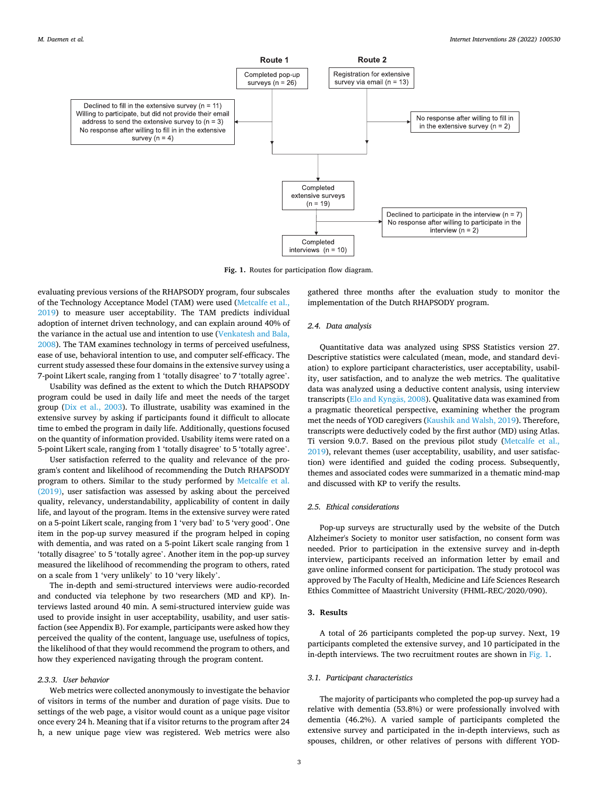<span id="page-2-0"></span>

**Fig. 1.** Routes for participation flow diagram.

evaluating previous versions of the RHAPSODY program, four subscales of the Technology Acceptance Model (TAM) were used [\(Metcalfe et al.,](#page-6-0)  [2019\)](#page-6-0) to measure user acceptability. The TAM predicts individual adoption of internet driven technology, and can explain around 40% of the variance in the actual use and intention to use ([Venkatesh and Bala,](#page-6-0)  [2008\)](#page-6-0). The TAM examines technology in terms of perceived usefulness, ease of use, behavioral intention to use, and computer self-efficacy. The current study assessed these four domains in the extensive survey using a 7-point Likert scale, ranging from 1 'totally disagree' to 7 'totally agree'.

Usability was defined as the extent to which the Dutch RHAPSODY program could be used in daily life and meet the needs of the target group ([Dix et al., 2003\)](#page-5-0). To illustrate, usability was examined in the extensive survey by asking if participants found it difficult to allocate time to embed the program in daily life. Additionally, questions focused on the quantity of information provided. Usability items were rated on a 5-point Likert scale, ranging from 1 'totally disagree' to 5 'totally agree'.

User satisfaction referred to the quality and relevance of the program's content and likelihood of recommending the Dutch RHAPSODY program to others. Similar to the study performed by [Metcalfe et al.](#page-6-0)  [\(2019\),](#page-6-0) user satisfaction was assessed by asking about the perceived quality, relevancy, understandability, applicability of content in daily life, and layout of the program. Items in the extensive survey were rated on a 5-point Likert scale, ranging from 1 'very bad' to 5 'very good'. One item in the pop-up survey measured if the program helped in coping with dementia, and was rated on a 5-point Likert scale ranging from 1 'totally disagree' to 5 'totally agree'. Another item in the pop-up survey measured the likelihood of recommending the program to others, rated on a scale from 1 'very unlikely' to 10 'very likely'.

The in-depth and semi-structured interviews were audio-recorded and conducted via telephone by two researchers (MD and KP). Interviews lasted around 40 min. A semi-structured interview guide was used to provide insight in user acceptability, usability, and user satisfaction (see Appendix B). For example, participants were asked how they perceived the quality of the content, language use, usefulness of topics, the likelihood of that they would recommend the program to others, and how they experienced navigating through the program content.

#### *2.3.3. User behavior*

Web metrics were collected anonymously to investigate the behavior of visitors in terms of the number and duration of page visits. Due to settings of the web page, a visitor would count as a unique page visitor once every 24 h. Meaning that if a visitor returns to the program after 24 h, a new unique page view was registered. Web metrics were also

gathered three months after the evaluation study to monitor the implementation of the Dutch RHAPSODY program.

# *2.4. Data analysis*

Quantitative data was analyzed using SPSS Statistics version 27. Descriptive statistics were calculated (mean, mode, and standard deviation) to explore participant characteristics, user acceptability, usability, user satisfaction, and to analyze the web metrics. The qualitative data was analyzed using a deductive content analysis, using interview transcripts ([Elo and Kyng](#page-6-0)äs, 2008). Qualitative data was examined from a pragmatic theoretical perspective, examining whether the program met the needs of YOD caregivers [\(Kaushik and Walsh, 2019](#page-6-0)). Therefore, transcripts were deductively coded by the first author (MD) using Atlas. Ti version 9.0.7. Based on the previous pilot study [\(Metcalfe et al.,](#page-6-0)  [2019\)](#page-6-0), relevant themes (user acceptability, usability, and user satisfaction) were identified and guided the coding process. Subsequently, themes and associated codes were summarized in a thematic mind-map and discussed with KP to verify the results.

# *2.5. Ethical considerations*

Pop-up surveys are structurally used by the website of the Dutch Alzheimer's Society to monitor user satisfaction, no consent form was needed. Prior to participation in the extensive survey and in-depth interview, participants received an information letter by email and gave online informed consent for participation. The study protocol was approved by The Faculty of Health, Medicine and Life Sciences Research Ethics Committee of Maastricht University (FHML-REC/2020/090).

#### **3. Results**

A total of 26 participants completed the pop-up survey. Next, 19 participants completed the extensive survey, and 10 participated in the in-depth interviews. The two recruitment routes are shown in Fig. 1.

#### *3.1. Participant characteristics*

The majority of participants who completed the pop-up survey had a relative with dementia (53.8%) or were professionally involved with dementia (46.2%). A varied sample of participants completed the extensive survey and participated in the in-depth interviews, such as spouses, children, or other relatives of persons with different YOD-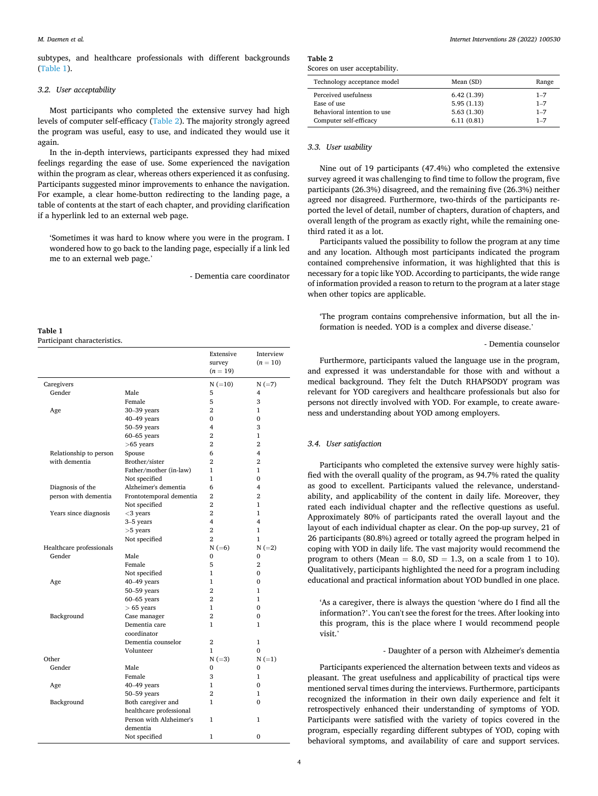#### *M. Daemen et al.*

subtypes, and healthcare professionals with different backgrounds (Table 1).

# *3.2. User acceptability*

Most participants who completed the extensive survey had high levels of computer self-efficacy (Table 2). The majority strongly agreed the program was useful, easy to use, and indicated they would use it again.

In the in-depth interviews, participants expressed they had mixed feelings regarding the ease of use. Some experienced the navigation within the program as clear, whereas others experienced it as confusing. Participants suggested minor improvements to enhance the navigation. For example, a clear home-button redirecting to the landing page, a table of contents at the start of each chapter, and providing clarification if a hyperlink led to an external web page.

'Sometimes it was hard to know where you were in the program. I wondered how to go back to the landing page, especially if a link led me to an external web page.'

- Dementia care coordinator

**Table 1**  Participant characteristics.

|                          |                                       | Extensive<br>survey<br>$(n = 19)$         | Interview<br>$(n = 10)$ |
|--------------------------|---------------------------------------|-------------------------------------------|-------------------------|
| Caregivers               |                                       | $N (=10)$                                 | $N (=7)$                |
| Gender                   | Male                                  | 5                                         | 4                       |
|                          | Female                                | 5                                         | 3                       |
| Age                      | 30-39 years                           | $\overline{2}$                            | 1                       |
|                          | $40-49$ years                         | $\Omega$                                  | $\mathbf{0}$            |
|                          | $50 - 59$ years                       | $\overline{\mathbf{4}}$                   | 3                       |
|                          | $60 - 65$ years                       | $\overline{2}$                            | $\mathbf{1}$            |
|                          | $>65$ years                           | $\overline{2}$                            | $\overline{2}$          |
| Relationship to person   | Spouse                                | 6                                         | 4                       |
| with dementia            | Brother/sister                        | $\overline{2}$                            | $\overline{2}$          |
|                          | Father/mother (in-law)                | 1                                         | 1                       |
|                          |                                       | 1                                         | $\Omega$                |
|                          | Not specified<br>Alzheimer's dementia | 6                                         | 4                       |
| Diagnosis of the         |                                       | $\overline{2}$                            | $\overline{2}$          |
| person with dementia     | Frontotemporal dementia               | $\overline{2}$                            |                         |
|                          | Not specified                         |                                           | 1                       |
| Years since diagnosis    | $<$ 3 years                           | $\overline{2}$<br>$\overline{\mathbf{4}}$ | $\mathbf{1}$<br>4       |
|                          | 3-5 years                             |                                           |                         |
|                          | $>5$ years                            | $\overline{2}$                            | 1                       |
|                          | Not specified                         | $\overline{2}$                            | 1                       |
| Healthcare professionals |                                       | $N (=6)$                                  | $N (=2)$                |
| Gender                   | Male                                  | $\Omega$                                  | 0                       |
|                          | Female                                | 5                                         | $\mathbf{2}$            |
|                          | Not specified                         | 1                                         | $\Omega$                |
| Age                      | $40-49$ years                         | 1                                         | $\Omega$                |
|                          | $50 - 59$ years                       | $\overline{2}$                            | 1                       |
|                          | $60 - 65$ years                       | $\overline{2}$                            | 1                       |
|                          | $> 65$ years                          | $\mathbf{1}$                              | $\Omega$                |
| Background               | Case manager                          | $\overline{2}$                            | $\Omega$                |
|                          | Dementia care<br>coordinator          | 1                                         | 1                       |
|                          | Dementia counselor                    | $\overline{2}$                            | $\mathbf{1}$            |
|                          | Volunteer                             | 1                                         | $\Omega$                |
| Other                    |                                       | $N (=3)$                                  | $N (=1)$                |
| Gender                   | Male                                  | 0                                         | $\Omega$                |
|                          | Female                                | 3                                         | 1                       |
| Age                      | $40-49$ years                         | 1                                         | $\Omega$                |
|                          | 50-59 years                           | $\overline{2}$                            | 1                       |
| Background               | Both caregiver and                    | 1                                         | $\Omega$                |
|                          | healthcare professional               |                                           |                         |
|                          | Person with Alzheimer's               | 1                                         | $\mathbf{1}$            |
|                          | dementia<br>Not specified             | 1                                         | $\Omega$                |

**Table 2**  Scores on user acceptability.

| Technology acceptance model | Mean (SD)  | Range   |
|-----------------------------|------------|---------|
| Perceived usefulness        | 6.42(1.39) | $1 - 7$ |
| Ease of use                 | 5.95(1.13) | $1 - 7$ |
| Behavioral intention to use | 5.63(1.30) | $1 - 7$ |
| Computer self-efficacy      | 6.11(0.81) | $1 - 7$ |

#### *3.3. User usability*

Nine out of 19 participants (47.4%) who completed the extensive survey agreed it was challenging to find time to follow the program, five participants (26.3%) disagreed, and the remaining five (26.3%) neither agreed nor disagreed. Furthermore, two-thirds of the participants reported the level of detail, number of chapters, duration of chapters, and overall length of the program as exactly right, while the remaining onethird rated it as a lot.

Participants valued the possibility to follow the program at any time and any location. Although most participants indicated the program contained comprehensive information, it was highlighted that this is necessary for a topic like YOD. According to participants, the wide range of information provided a reason to return to the program at a later stage when other topics are applicable.

'The program contains comprehensive information, but all the information is needed. YOD is a complex and diverse disease.'

# - Dementia counselor

Furthermore, participants valued the language use in the program, and expressed it was understandable for those with and without a medical background. They felt the Dutch RHAPSODY program was relevant for YOD caregivers and healthcare professionals but also for persons not directly involved with YOD. For example, to create awareness and understanding about YOD among employers.

# *3.4. User satisfaction*

Participants who completed the extensive survey were highly satisfied with the overall quality of the program, as 94.7% rated the quality as good to excellent. Participants valued the relevance, understandability, and applicability of the content in daily life. Moreover, they rated each individual chapter and the reflective questions as useful. Approximately 80% of participants rated the overall layout and the layout of each individual chapter as clear. On the pop-up survey, 21 of 26 participants (80.8%) agreed or totally agreed the program helped in coping with YOD in daily life. The vast majority would recommend the program to others (Mean = 8.0,  $SD = 1.3$ , on a scale from 1 to 10). Qualitatively, participants highlighted the need for a program including educational and practical information about YOD bundled in one place.

'As a caregiver, there is always the question 'where do I find all the information?'. You can't see the forest for the trees. After looking into this program, this is the place where I would recommend people visit.'

- Daughter of a person with Alzheimer's dementia

Participants experienced the alternation between texts and videos as pleasant. The great usefulness and applicability of practical tips were mentioned serval times during the interviews. Furthermore, participants recognized the information in their own daily experience and felt it retrospectively enhanced their understanding of symptoms of YOD. Participants were satisfied with the variety of topics covered in the program, especially regarding different subtypes of YOD, coping with behavioral symptoms, and availability of care and support services.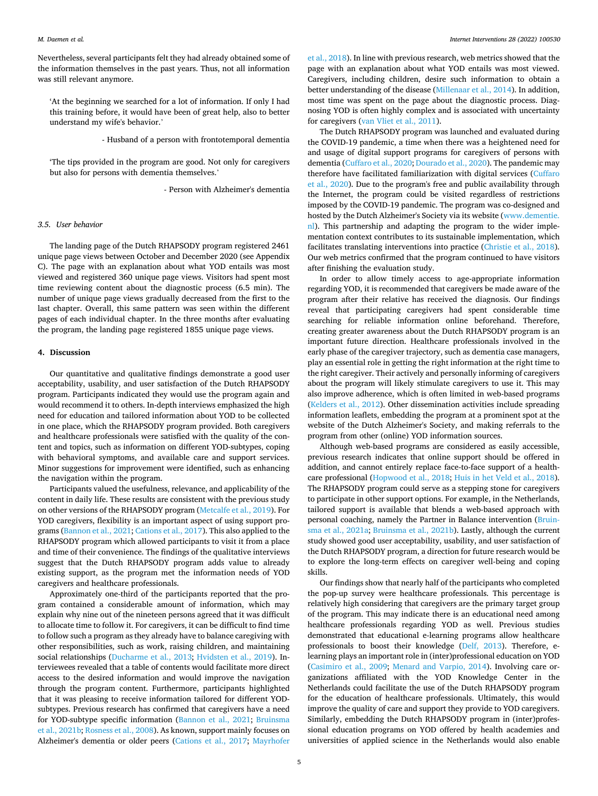Nevertheless, several participants felt they had already obtained some of the information themselves in the past years. Thus, not all information was still relevant anymore.

'At the beginning we searched for a lot of information. If only I had this training before, it would have been of great help, also to better understand my wife's behavior.'

- Husband of a person with frontotemporal dementia

'The tips provided in the program are good. Not only for caregivers but also for persons with dementia themselves.'

- Person with Alzheimer's dementia

# *3.5. User behavior*

The landing page of the Dutch RHAPSODY program registered 2461 unique page views between October and December 2020 (see Appendix C). The page with an explanation about what YOD entails was most viewed and registered 360 unique page views. Visitors had spent most time reviewing content about the diagnostic process (6.5 min). The number of unique page views gradually decreased from the first to the last chapter. Overall, this same pattern was seen within the different pages of each individual chapter. In the three months after evaluating the program, the landing page registered 1855 unique page views.

# **4. Discussion**

Our quantitative and qualitative findings demonstrate a good user acceptability, usability, and user satisfaction of the Dutch RHAPSODY program. Participants indicated they would use the program again and would recommend it to others. In-depth interviews emphasized the high need for education and tailored information about YOD to be collected in one place, which the RHAPSODY program provided. Both caregivers and healthcare professionals were satisfied with the quality of the content and topics, such as information on different YOD-subtypes, coping with behavioral symptoms, and available care and support services. Minor suggestions for improvement were identified, such as enhancing the navigation within the program.

Participants valued the usefulness, relevance, and applicability of the content in daily life. These results are consistent with the previous study on other versions of the RHAPSODY program ([Metcalfe et al., 2019\)](#page-6-0). For YOD caregivers, flexibility is an important aspect of using support programs ([Bannon et al., 2021; Cations et al., 2017\)](#page-5-0). This also applied to the RHAPSODY program which allowed participants to visit it from a place and time of their convenience. The findings of the qualitative interviews suggest that the Dutch RHAPSODY program adds value to already existing support, as the program met the information needs of YOD caregivers and healthcare professionals.

Approximately one-third of the participants reported that the program contained a considerable amount of information, which may explain why nine out of the nineteen persons agreed that it was difficult to allocate time to follow it. For caregivers, it can be difficult to find time to follow such a program as they already have to balance caregiving with other responsibilities, such as work, raising children, and maintaining social relationships [\(Ducharme et al., 2013](#page-5-0); [Hvidsten et al., 2019](#page-6-0)). Interviewees revealed that a table of contents would facilitate more direct access to the desired information and would improve the navigation through the program content. Furthermore, participants highlighted that it was pleasing to receive information tailored for different YODsubtypes. Previous research has confirmed that caregivers have a need for YOD-subtype specific information [\(Bannon et al., 2021;](#page-5-0) [Bruinsma](#page-5-0)  [et al., 2021b;](#page-5-0) [Rosness et al., 2008\)](#page-6-0). As known, support mainly focuses on Alzheimer's dementia or older peers ([Cations et al., 2017](#page-5-0); [Mayrhofer](#page-6-0) 

[et al., 2018](#page-6-0)). In line with previous research, web metrics showed that the page with an explanation about what YOD entails was most viewed. Caregivers, including children, desire such information to obtain a better understanding of the disease [\(Millenaar et al., 2014\)](#page-6-0). In addition, most time was spent on the page about the diagnostic process. Diagnosing YOD is often highly complex and is associated with uncertainty for caregivers [\(van Vliet et al., 2011\)](#page-6-0).

The Dutch RHAPSODY program was launched and evaluated during the COVID-19 pandemic, a time when there was a heightened need for and usage of digital support programs for caregivers of persons with dementia [\(Cuffaro et al., 2020](#page-5-0); [Dourado et al., 2020\)](#page-5-0). The pandemic may therefore have facilitated familiarization with digital services [\(Cuffaro](#page-5-0)  [et al., 2020\)](#page-5-0). Due to the program's free and public availability through the Internet, the program could be visited regardless of restrictions imposed by the COVID-19 pandemic. The program was co-designed and hosted by the Dutch Alzheimer's Society via its website ([www.dementie.](http://www.dementie.nl)  [nl\)](http://www.dementie.nl). This partnership and adapting the program to the wider implementation context contributes to its sustainable implementation, which facilitates translating interventions into practice [\(Christie et al., 2018](#page-5-0)). Our web metrics confirmed that the program continued to have visitors after finishing the evaluation study.

In order to allow timely access to age-appropriate information regarding YOD, it is recommended that caregivers be made aware of the program after their relative has received the diagnosis. Our findings reveal that participating caregivers had spent considerable time searching for reliable information online beforehand. Therefore, creating greater awareness about the Dutch RHAPSODY program is an important future direction. Healthcare professionals involved in the early phase of the caregiver trajectory, such as dementia case managers, play an essential role in getting the right information at the right time to the right caregiver. Their actively and personally informing of caregivers about the program will likely stimulate caregivers to use it. This may also improve adherence, which is often limited in web-based programs ([Kelders et al., 2012\)](#page-6-0). Other dissemination activities include spreading information leaflets, embedding the program at a prominent spot at the website of the Dutch Alzheimer's Society, and making referrals to the program from other (online) YOD information sources.

Although web-based programs are considered as easily accessible, previous research indicates that online support should be offered in addition, and cannot entirely replace face-to-face support of a healthcare professional ([Hopwood et al., 2018](#page-6-0); [Huis in het Veld et al., 2018](#page-6-0)). The RHAPSODY program could serve as a stepping stone for caregivers to participate in other support options. For example, in the Netherlands, tailored support is available that blends a web-based approach with personal coaching, namely the Partner in Balance intervention ([Bruin](#page-5-0)[sma et al., 2021a](#page-5-0); [Bruinsma et al., 2021b\)](#page-5-0). Lastly, although the current study showed good user acceptability, usability, and user satisfaction of the Dutch RHAPSODY program, a direction for future research would be to explore the long-term effects on caregiver well-being and coping skills.

Our findings show that nearly half of the participants who completed the pop-up survey were healthcare professionals. This percentage is relatively high considering that caregivers are the primary target group of the program. This may indicate there is an educational need among healthcare professionals regarding YOD as well. Previous studies demonstrated that educational e-learning programs allow healthcare professionals to boost their knowledge [\(Delf, 2013\)](#page-5-0). Therefore, elearning plays an important role in (inter)professional education on YOD ([Casimiro et al., 2009;](#page-5-0) [Menard and Varpio, 2014\)](#page-6-0). Involving care organizations affiliated with the YOD Knowledge Center in the Netherlands could facilitate the use of the Dutch RHAPSODY program for the education of healthcare professionals. Ultimately, this would improve the quality of care and support they provide to YOD caregivers. Similarly, embedding the Dutch RHAPSODY program in (inter)professional education programs on YOD offered by health academies and universities of applied science in the Netherlands would also enable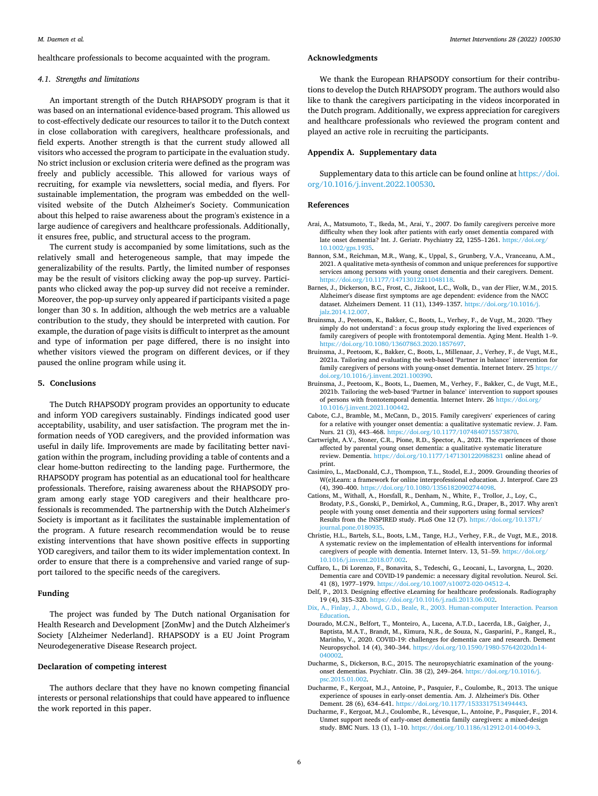<span id="page-5-0"></span>healthcare professionals to become acquainted with the program.

# *4.1. Strengths and limitations*

An important strength of the Dutch RHAPSODY program is that it was based on an international evidence-based program. This allowed us to cost-effectively dedicate our resources to tailor it to the Dutch context in close collaboration with caregivers, healthcare professionals, and field experts. Another strength is that the current study allowed all visitors who accessed the program to participate in the evaluation study. No strict inclusion or exclusion criteria were defined as the program was freely and publicly accessible. This allowed for various ways of recruiting, for example via newsletters, social media, and flyers. For sustainable implementation, the program was embedded on the wellvisited website of the Dutch Alzheimer's Society. Communication about this helped to raise awareness about the program's existence in a large audience of caregivers and healthcare professionals. Additionally, it ensures free, public, and structural access to the program.

The current study is accompanied by some limitations, such as the relatively small and heterogeneous sample, that may impede the generalizability of the results. Partly, the limited number of responses may be the result of visitors clicking away the pop-up survey. Participants who clicked away the pop-up survey did not receive a reminder. Moreover, the pop-up survey only appeared if participants visited a page longer than 30 s. In addition, although the web metrics are a valuable contribution to the study, they should be interpreted with caution. For example, the duration of page visits is difficult to interpret as the amount and type of information per page differed, there is no insight into whether visitors viewed the program on different devices, or if they paused the online program while using it.

#### **5. Conclusions**

The Dutch RHAPSODY program provides an opportunity to educate and inform YOD caregivers sustainably. Findings indicated good user acceptability, usability, and user satisfaction. The program met the information needs of YOD caregivers, and the provided information was useful in daily life. Improvements are made by facilitating better navigation within the program, including providing a table of contents and a clear home-button redirecting to the landing page. Furthermore, the RHAPSODY program has potential as an educational tool for healthcare professionals. Therefore, raising awareness about the RHAPSODY program among early stage YOD caregivers and their healthcare professionals is recommended. The partnership with the Dutch Alzheimer's Society is important as it facilitates the sustainable implementation of the program. A future research recommendation would be to reuse existing interventions that have shown positive effects in supporting YOD caregivers, and tailor them to its wider implementation context. In order to ensure that there is a comprehensive and varied range of support tailored to the specific needs of the caregivers.

# **Funding**

The project was funded by The Dutch national Organisation for Health Research and Development [ZonMw] and the Dutch Alzheimer's Society [Alzheimer Nederland]. RHAPSODY is a EU Joint Program Neurodegenerative Disease Research project.

# **Declaration of competing interest**

The authors declare that they have no known competing financial interests or personal relationships that could have appeared to influence the work reported in this paper.

# **Acknowledgments**

We thank the European RHAPSODY consortium for their contributions to develop the Dutch RHAPSODY program. The authors would also like to thank the caregivers participating in the videos incorporated in the Dutch program. Additionally, we express appreciation for caregivers and healthcare professionals who reviewed the program content and played an active role in recruiting the participants.

#### **Appendix A. Supplementary data**

Supplementary data to this article can be found online at [https://doi.](https://doi.org/10.1016/j.invent.2022.100530)  [org/10.1016/j.invent.2022.100530](https://doi.org/10.1016/j.invent.2022.100530).

#### **References**

- Arai, A., Matsumoto, T., Ikeda, M., Arai, Y., 2007. Do family caregivers perceive more difficulty when they look after patients with early onset dementia compared with late onset dementia? Int. J. Geriatr. Psychiatry 22, 1255–1261. [https://doi.org/](https://doi.org/10.1002/gps.1935)  [10.1002/gps.1935.](https://doi.org/10.1002/gps.1935)
- Bannon, S.M., Reichman, M.R., Wang, K., Uppal, S., Grunberg, V.A., Vranceanu, A.M., 2021. A qualitative meta-synthesis of common and unique preferences for supportive services among persons with young onset dementia and their caregivers. Dement. <https://doi.org/10.1177/14713012211048118>.
- Barnes, J., Dickerson, B.C., Frost, C., Jiskoot, L.C., Wolk, D., van der Flier, W.M., 2015. Alzheimer's disease first symptoms are age dependent: evidence from the NACC dataset. Alzheimers Dement. 11 (11), 1349–1357. [https://doi.org/10.1016/j.](https://doi.org/10.1016/j.jalz.2014.12.007) [jalz.2014.12.007](https://doi.org/10.1016/j.jalz.2014.12.007).
- Bruinsma, J., Peetoom, K., Bakker, C., Boots, L., Verhey, F., de Vugt, M., 2020. 'They simply do not understand': a focus group study exploring the lived experiences of family caregivers of people with frontotemporal dementia. Aging Ment. Health 1–9. <https://doi.org/10.1080/13607863.2020.1857697>.
- Bruinsma, J., Peetoom, K., Bakker, C., Boots, L., Millenaar, J., Verhey, F., de Vugt, M.E., 2021a. Tailoring and evaluating the web-based 'Partner in balance' intervention for family caregivers of persons with young-onset dementia. Internet Interv. 25 [https://](https://doi.org/10.1016/j.invent.2021.100390)  [doi.org/10.1016/j.invent.2021.100390](https://doi.org/10.1016/j.invent.2021.100390).
- Bruinsma, J., Peetoom, K., Boots, L., Daemen, M., Verhey, F., Bakker, C., de Vugt, M.E., 2021b. Tailoring the web-based 'Partner in balance' intervention to support spouses of persons with frontotemporal dementia. Internet Interv. 26 [https://doi.org/](https://doi.org/10.1016/j.invent.2021.100442) [10.1016/j.invent.2021.100442.](https://doi.org/10.1016/j.invent.2021.100442)
- Cabote, C.J., Bramble, M., McCann, D., 2015. Family caregivers' experiences of caring for a relative with younger onset dementia: a qualitative systematic review. J. Fam. Nurs. 21 (3), 443–468. <https://doi.org/10.1177/1074840715573870>.
- Cartwright, A.V., Stoner, C.R., Pione, R.D., Spector, A., 2021. The experiences of those affected by parental young onset dementia: a qualitative systematic literature review. Dementia.<https://doi.org/10.1177/1471301220988231>online ahead of print.
- Casimiro, L., MacDonald, C.J., Thompson, T.L., Stodel, E.J., 2009. Grounding theories of W(e)Learn: a framework for online interprofessional education. J. Interprof. Care 23 (4), 390–400.<https://doi.org/10.1080/13561820902744098>.
- Cations, M., Withall, A., Horsfall, R., Denham, N., White, F., Trollor, J., Loy, C., Brodaty, P.S., Gonski, P., Demirkol, A., Cumming, R.G., Draper, B., 2017. Why aren't people with young onset dementia and their supporters using formal services? Results from the INSPIRED study. PLoS One 12 (7). [https://doi.org/10.1371/](https://doi.org/10.1371/journal.pone.0180935)  [journal.pone.0180935](https://doi.org/10.1371/journal.pone.0180935).
- Christie, H.L., Bartels, S.L., Boots, L.M., Tange, H.J., Verhey, F.R., de Vugt, M.E., 2018. A systematic review on the implementation of eHealth interventions for informal caregivers of people with dementia. Internet Interv. 13, 51–59. [https://doi.org/](https://doi.org/10.1016/j.invent.2018.07.002) [10.1016/j.invent.2018.07.002](https://doi.org/10.1016/j.invent.2018.07.002).
- Cuffaro, L., Di Lorenzo, F., Bonavita, S., Tedeschi, G., Leocani, L., Lavorgna, L., 2020. Dementia care and COVID-19 pandemic: a necessary digital revolution. Neurol. Sci. 41 (8), 1977–1979. [https://doi.org/10.1007/s10072-020-04512-4.](https://doi.org/10.1007/s10072-020-04512-4)
- Delf, P., 2013. Designing effective eLearning for healthcare professionals. Radiography 19 (4), 315–320. <https://doi.org/10.1016/j.radi.2013.06.002>.
- [Dix, A., Finlay, J., Abowd, G.D., Beale, R., 2003. Human-computer Interaction. Pearson](http://refhub.elsevier.com/S2214-7829(22)00037-9/rf202203252251119389)  [Education.](http://refhub.elsevier.com/S2214-7829(22)00037-9/rf202203252251119389)
- Dourado, M.C.N., Belfort, T., Monteiro, A., Lucena, A.T.D., Lacerda, I.B., Gaigher, J., Baptista, M.A.T., Brandt, M., Kimura, N.R., de Souza, N., Gasparini, P., Rangel, R., Marinho, V., 2020. COVID-19: challenges for dementia care and research. Dement Neuropsychol. 14 (4), 340–344. [https://doi.org/10.1590/1980-57642020dn14-](https://doi.org/10.1590/1980-57642020dn14-040002)  [040002](https://doi.org/10.1590/1980-57642020dn14-040002).
- Ducharme, S., Dickerson, B.C., 2015. The neuropsychiatric examination of the youngonset dementias. Psychiatr. Clin. 38 (2), 249–264. [https://doi.org/10.1016/j.](https://doi.org/10.1016/j.psc.2015.01.002) [psc.2015.01.002](https://doi.org/10.1016/j.psc.2015.01.002).
- Ducharme, F., Kergoat, M.J., Antoine, P., Pasquier, F., Coulombe, R., 2013. The unique experience of spouses in early-onset dementia. Am. J. Alzheimer's Dis. Other Dement. 28 (6), 634–641. [https://doi.org/10.1177/1533317513494443.](https://doi.org/10.1177/1533317513494443)
- Ducharme, F., Kergoat, M.J., Coulombe, R., L´evesque, L., Antoine, P., Pasquier, F., 2014. Unmet support needs of early-onset dementia family caregivers: a mixed-design study. BMC Nurs. 13 (1), 1–10. <https://doi.org/10.1186/s12912-014-0049-3>.